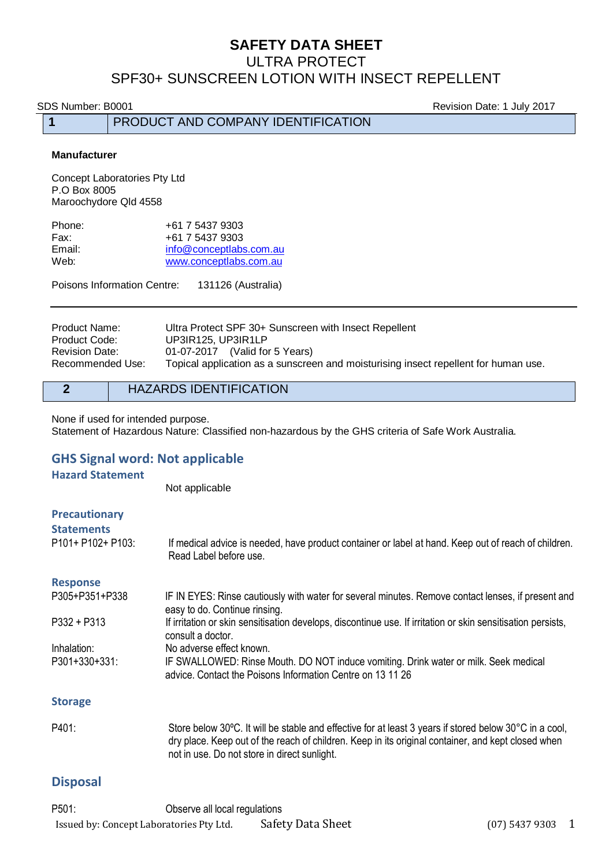### **SAFETY DATA SHEET** ULTRA PROTECT

# SPF30+ SUNSCREEN LOTION WITH INSECT REPELLENT

SDS Number: B0001 **Revision Date: 1 July 2017** 

**1** PRODUCT AND COMPANY IDENTIFICATION

#### **Manufacturer**

Concept Laboratories Pty Ltd P.O Box 8005 Maroochydore Qld 4558

| +61 7 5437 9303         |
|-------------------------|
| +61 7 5437 9303         |
| info@conceptlabs.com.au |
| www.conceptlabs.com.au  |
|                         |

Poisons Information Centre: 131126 (Australia)

| Product Name:         | Ultra Protect SPF 30+ Sunscreen with Insect Repellent                               |
|-----------------------|-------------------------------------------------------------------------------------|
| Product Code:         | UP3IR125, UP3IR1LP                                                                  |
| <b>Revision Date:</b> | 01-07-2017 (Valid for 5 Years)                                                      |
| Recommended Use:      | Topical application as a sunscreen and moisturising insect repellent for human use. |

### **2** HAZARDS IDENTIFICATION

None if used for intended purpose. Statement of Hazardous Nature: Classified non-hazardous by the GHS criteria of Safe Work Australia.

### **GHS Signal word: Not applicable**

#### **Hazard Statement**

Not applicable

| <b>Precautionary</b><br><b>Statements</b><br>P101+ P102+ P103: | If medical advice is needed, have product container or label at hand. Keep out of reach of children.<br>Read Label before use.                     |
|----------------------------------------------------------------|----------------------------------------------------------------------------------------------------------------------------------------------------|
| <b>Response</b>                                                |                                                                                                                                                    |
| P305+P351+P338                                                 | IF IN EYES: Rinse cautiously with water for several minutes. Remove contact lenses, if present and<br>easy to do. Continue rinsing.                |
| $P332 + P313$                                                  | If irritation or skin sensitisation develops, discontinue use. If irritation or skin sensitisation persists,<br>consult a doctor.                  |
| Inhalation:                                                    | No adverse effect known.                                                                                                                           |
| P301+330+331:                                                  | IF SWALLOWED: Rinse Mouth. DO NOT induce vomiting. Drink water or milk. Seek medical<br>advice. Contact the Poisons Information Centre on 13 11 26 |
| <b>Storage</b>                                                 |                                                                                                                                                    |
| $-101$                                                         |                                                                                                                                                    |

P401: Store below 30ºC. It will be stable and effective for at least 3 years if stored below 30°C in a cool, dry place. Keep out of the reach of children. Keep in its original container, and kept closed when not in use. Do not store in direct sunlight.

### **Disposal**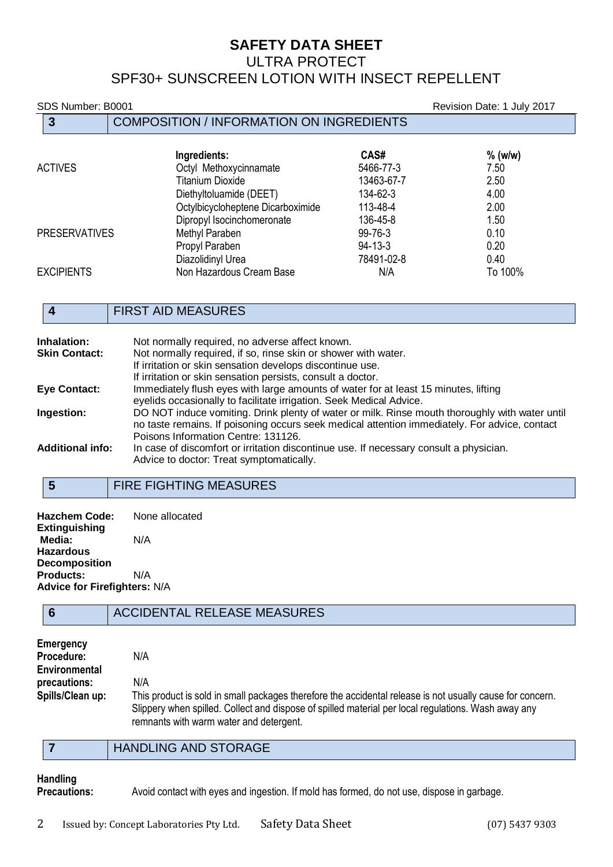# **SAFETY DATA SHEET** ULTRA PROTECT SPF30+ SUNSCREEN LOTION WITH INSECT REPELLENT

SDS Number: B0001 Revision Date: 1 July 2017

|                      | 3                 | <b>COMPOSITION / INFORMATION ON INGREDIENTS</b> |               |           |
|----------------------|-------------------|-------------------------------------------------|---------------|-----------|
|                      |                   | Ingredients:                                    | CAS#          | $%$ (w/w) |
| <b>ACTIVES</b>       |                   | Octyl Methoxycinnamate                          | 5466-77-3     | 7.50      |
|                      |                   | <b>Titanium Dioxide</b>                         | 13463-67-7    | 2.50      |
|                      |                   | Diethyltoluamide (DEET)                         | 134-62-3      | 4.00      |
|                      |                   | Octylbicycloheptene Dicarboximide               | 113-48-4      | 2.00      |
| <b>PRESERVATIVES</b> |                   | Dipropyl Isocinchomeronate                      | 136-45-8      | 1.50      |
|                      |                   | Methyl Paraben                                  | 99-76-3       | 0.10      |
|                      |                   | Propyl Paraben                                  | $94 - 13 - 3$ | 0.20      |
|                      |                   | Diazolidinyl Urea                               | 78491-02-8    | 0.40      |
|                      | <b>EXCIPIENTS</b> | Non Hazardous Cream Base                        | N/A           | To 100%   |

# **4** FIRST AID MEASURES

| Inhalation:<br><b>Skin Contact:</b> | Not normally required, no adverse affect known.<br>Not normally required, if so, rinse skin or shower with water.<br>If irritation or skin sensation develops discontinue use.                                                         |
|-------------------------------------|----------------------------------------------------------------------------------------------------------------------------------------------------------------------------------------------------------------------------------------|
|                                     | If irritation or skin sensation persists, consult a doctor.                                                                                                                                                                            |
| <b>Eye Contact:</b>                 | Immediately flush eyes with large amounts of water for at least 15 minutes, lifting<br>eyelids occasionally to facilitate irrigation. Seek Medical Advice.                                                                             |
| Ingestion:                          | DO NOT induce vomiting. Drink plenty of water or milk. Rinse mouth thoroughly with water until<br>no taste remains. If poisoning occurs seek medical attention immediately. For advice, contact<br>Poisons Information Centre: 131126. |
| <b>Additional info:</b>             | In case of discomfort or irritation discontinue use. If necessary consult a physician.<br>Advice to doctor: Treat symptomatically.                                                                                                     |

# **5** FIRE FIGHTING MEASURES

**Hazchem Code:** None allocated **Extinguishing Media:** N/A **Hazardous Decomposition Products:** N/A **Advice for Firefighters:** N/A

# **6** ACCIDENTAL RELEASE MEASURES

| Emergency        |                                                                                                           |
|------------------|-----------------------------------------------------------------------------------------------------------|
| Procedure:       | N/A                                                                                                       |
| Environmental    |                                                                                                           |
| precautions:     | N/A                                                                                                       |
| Spills/Clean up: | This product is sold in small packages therefore the accidental release is not usually cause for concern. |
|                  | Slippery when spilled. Collect and dispose of spilled material per local regulations. Wash away any       |
|                  | remnants with warm water and detergent.                                                                   |

### **7** HANDLING AND STORAGE

# **Handling**

**Precautions:** Avoid contact with eyes and ingestion. If mold has formed, do not use, dispose in garbage.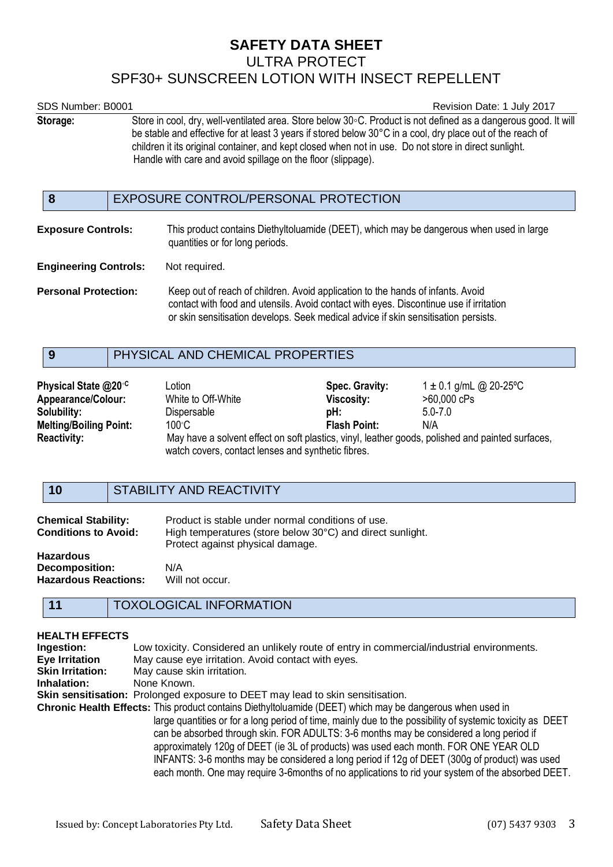# **SAFETY DATA SHEET** ULTRA PROTECT SPF30+ SUNSCREEN LOTION WITH INSECT REPELLENT

| SDS Number: B0001            |                                                                                                                                                                                                                                                                                                                                                                                                        | Revision Date: 1 July 2017                                                                                                                                                |
|------------------------------|--------------------------------------------------------------------------------------------------------------------------------------------------------------------------------------------------------------------------------------------------------------------------------------------------------------------------------------------------------------------------------------------------------|---------------------------------------------------------------------------------------------------------------------------------------------------------------------------|
| Storage:                     | Store in cool, dry, well-ventilated area. Store below 30°C. Product is not defined as a dangerous good. It will<br>be stable and effective for at least 3 years if stored below 30°C in a cool, dry place out of the reach of<br>children it its original container, and kept closed when not in use. Do not store in direct sunlight.<br>Handle with care and avoid spillage on the floor (slippage). |                                                                                                                                                                           |
| 8                            |                                                                                                                                                                                                                                                                                                                                                                                                        | EXPOSURE CONTROL/PERSONAL PROTECTION                                                                                                                                      |
| <b>Exposure Controls:</b>    |                                                                                                                                                                                                                                                                                                                                                                                                        | This product contains Diethyltoluamide (DEET), which may be dangerous when used in large<br>quantities or for long periods.                                               |
| <b>Engineering Controls:</b> |                                                                                                                                                                                                                                                                                                                                                                                                        | Not required.                                                                                                                                                             |
| <b>Personal Protection:</b>  |                                                                                                                                                                                                                                                                                                                                                                                                        | Keep out of reach of children. Avoid application to the hands of infants. Avoid<br>contact with food and utensils. Avoid contact with eyes. Discontinue use if irritation |

or skin sensitisation develops. Seek medical advice if skin sensitisation persists.

# **9** PHYSICAL AND CHEMICAL PROPERTIES

| Physical State @20 <sup>°C</sup><br><b>Appearance/Colour:</b> | ∟otion<br>White to Off-White                                                                                                                           | Spec. Gravity:<br>Viscosity: | $1 \pm 0.1$ g/mL @ 20-25°C<br>>60,000 cPs |
|---------------------------------------------------------------|--------------------------------------------------------------------------------------------------------------------------------------------------------|------------------------------|-------------------------------------------|
| Solubility:                                                   | Dispersable                                                                                                                                            | pH:                          | $5.0 - 7.0$                               |
| <b>Melting/Boiling Point:</b>                                 | 100°C.                                                                                                                                                 | <b>Flash Point:</b>          | N/A                                       |
| <b>Reactivity:</b>                                            | May have a solvent effect on soft plastics, vinyl, leather goods, polished and painted surfaces,<br>watch covers, contact lenses and synthetic fibres. |                              |                                           |

### **10** STABILITY AND REACTIVITY

| <b>Chemical Stability:</b><br><b>Conditions to Avoid:</b>         | Product is stable under normal conditions of use.<br>High temperatures (store below 30°C) and direct sunlight.<br>Protect against physical damage. |
|-------------------------------------------------------------------|----------------------------------------------------------------------------------------------------------------------------------------------------|
| <b>Hazardous</b><br>Decomposition:<br><b>Hazardous Reactions:</b> | N/A<br>Will not occur.                                                                                                                             |

### **11** TOXOLOGICAL INFORMATION

### **HEALTH EFFECTS**

| Ingestion:                                                                                                | Low toxicity. Considered an unlikely route of entry in commercial/industrial environments.                                                                                                                                                                                                                                                                                                                                                                                                          |  |
|-----------------------------------------------------------------------------------------------------------|-----------------------------------------------------------------------------------------------------------------------------------------------------------------------------------------------------------------------------------------------------------------------------------------------------------------------------------------------------------------------------------------------------------------------------------------------------------------------------------------------------|--|
| <b>Eye Irritation</b>                                                                                     | May cause eye irritation. Avoid contact with eyes.                                                                                                                                                                                                                                                                                                                                                                                                                                                  |  |
| <b>Skin Irritation:</b>                                                                                   | May cause skin irritation.                                                                                                                                                                                                                                                                                                                                                                                                                                                                          |  |
| Inhalation:                                                                                               | None Known.                                                                                                                                                                                                                                                                                                                                                                                                                                                                                         |  |
|                                                                                                           | Skin sensitisation: Prolonged exposure to DEET may lead to skin sensitisation.                                                                                                                                                                                                                                                                                                                                                                                                                      |  |
| Chronic Health Effects: This product contains Diethyltoluamide (DEET) which may be dangerous when used in |                                                                                                                                                                                                                                                                                                                                                                                                                                                                                                     |  |
|                                                                                                           | large quantities or for a long period of time, mainly due to the possibility of systemic toxicity as DEET<br>can be absorbed through skin. FOR ADULTS: 3-6 months may be considered a long period if<br>approximately 120g of DEET (ie 3L of products) was used each month. FOR ONE YEAR OLD<br>INFANTS: 3-6 months may be considered a long period if 12g of DEET (300g of product) was used<br>each month. One may require 3-6 months of no applications to rid your system of the absorbed DEET. |  |